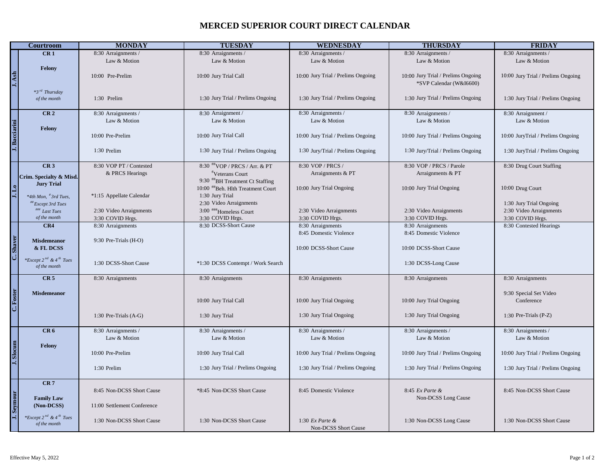## **MERCED SUPERIOR COURT DIRECT CALENDAR**

|               | <b>Courtroom</b>                                           | <b>MONDAY</b>               | <b>TUESDAY</b>                                                      | <b>WEDNESDAY</b>                   | <b>THURSDAY</b>                    | <b>FRIDAY</b>                      |
|---------------|------------------------------------------------------------|-----------------------------|---------------------------------------------------------------------|------------------------------------|------------------------------------|------------------------------------|
|               | CR <sub>1</sub>                                            | 8:30 Arraignments /         | 8:30 Arraignments /                                                 | 8:30 Arraignments /                | 8:30 Arraignments /                | 8:30 Arraignments /                |
|               |                                                            | Law & Motion                | Law & Motion                                                        | Law & Motion                       | Law & Motion                       | Law & Motion                       |
|               | Felony                                                     |                             |                                                                     |                                    |                                    |                                    |
| J. Ash        |                                                            | 10:00 Pre-Prelim            | 10:00 Jury Trial Call                                               | 10:00 Jury Trial / Prelims Ongoing | 10:00 Jury Trial / Prelims Ongoing | 10:00 Jury Trial / Prelims Ongoing |
|               |                                                            |                             |                                                                     |                                    | *SVP Calendar (W&I6600)            |                                    |
|               | $*3^{rd}$ Thursday                                         |                             |                                                                     |                                    |                                    |                                    |
|               | of the month                                               | 1:30 Prelim                 | 1:30 Jury Trial / Prelims Ongoing                                   | 1:30 Jury Trial / Prelims Ongoing  | 1:30 Jury Trial / Prelims Ongoing  | 1:30 Jury Trial / Prelims Ongoing  |
|               |                                                            |                             |                                                                     |                                    |                                    |                                    |
|               | CR <sub>2</sub>                                            | 8:30 Arraignments /         | 8:30 Arraignment /                                                  | 8:30 Arraignments /                | 8:30 Arraignments /                | 8:30 Arraignment /                 |
|               |                                                            | Law & Motion                | Law & Motion                                                        | Law & Motion                       | Law & Motion                       | Law & Motion                       |
| J. Bacciarini | Felony                                                     |                             |                                                                     |                                    |                                    |                                    |
|               |                                                            | 10:00 Pre-Prelim            | 10:00 Jury Trial Call                                               | 10:00 Jury Trial / Prelims Ongoing | 10:00 Jury Trial / Prelims Ongoing | 10:00 JuryTrial / Prelims Ongoing  |
|               |                                                            |                             |                                                                     |                                    |                                    |                                    |
|               |                                                            | 1:30 Prelim                 | 1:30 Jury Trial / Prelims Ongoing                                   | 1:30 Jury/Trial / Prelims Ongoing  | 1:30 Jury/Trial / Prelims Ongoing  | 1:30 JuryTrial / Prelims Ongoing   |
|               |                                                            |                             |                                                                     |                                    |                                    |                                    |
|               | CR <sub>3</sub>                                            | 8:30 VOP PT / Contested     | 8:30 ##VOP / PRCS / Arr. & PT                                       | 8:30 VOP / PRCS /                  | 8:30 VOP / PRCS / Parole           | 8:30 Drug Court Staffing           |
|               | Crim. Specialty & Misd.                                    | & PRCS Hearings             | <i>v</i> Veterans Court                                             | Arraignments & PT                  | Arraignments & PT                  |                                    |
|               | <b>Jury Trial</b>                                          |                             | 9:30 #BH Treatment Ct Staffing<br>10:00 ##Beh. Hlth Treatment Court | 10:00 Jury Trial Ongoing           | 10:00 Jury Trial Ongoing           | 10:00 Drug Court                   |
|               |                                                            | *1:15 Appellate Calendar    | 1:30 Jury Trial                                                     |                                    |                                    |                                    |
|               | *4th Mon, <sup>#</sup> 3rd Tues,<br><i>Except 3rd Tues</i> |                             | 2:30 Video Arraignments                                             |                                    |                                    | 1:30 Jury Trial Ongoing            |
|               | ### Last Tues                                              | 2:30 Video Arraignments     | 3:00 ###Homeless Court                                              | 2:30 Video Arraignments            | 2:30 Video Arraignments            | 2:30 Video Arraignments            |
|               | of the month                                               | 3:30 COVID Hrgs.            | 3:30 COVID Hrgs.                                                    | 3:30 COVID Hrgs.                   | 3:30 COVID Hrgs.                   | 3:30 COVID Hrgs.                   |
|               | CR4                                                        | 8:30 Arraignments           | 8:30 DCSS-Short Cause                                               | 8:30 Arraignments                  | 8:30 Arraignments                  | 8:30 Contested Hearings            |
|               |                                                            |                             |                                                                     | 8:45 Domestic Violence             | 8:45 Domestic Violence             |                                    |
|               | <b>Misdemeanor</b>                                         | 9:30 Pre-Trials (H-O)       |                                                                     |                                    |                                    |                                    |
| C. Shaver     | & FL DCSS                                                  |                             |                                                                     | 10:00 DCSS-Short Cause             | 10:00 DCSS-Short Cause             |                                    |
|               |                                                            |                             |                                                                     |                                    |                                    |                                    |
|               | *Except $2^{nd}$ & $4^{th}$ Tues<br>of the month           | 1:30 DCSS-Short Cause       | *1:30 DCSS Contempt / Work Search                                   |                                    | 1:30 DCSS-Long Cause               |                                    |
|               |                                                            |                             |                                                                     |                                    |                                    |                                    |
|               | CR <sub>5</sub>                                            | 8:30 Arraignments           | 8:30 Arraignments                                                   | 8:30 Arraignments                  | 8:30 Arraignments                  | 8:30 Arraignments                  |
|               |                                                            |                             |                                                                     |                                    |                                    |                                    |
|               | <b>Misdemeanor</b>                                         |                             |                                                                     |                                    |                                    | 9:30 Special Set Video             |
| C. Foster     |                                                            |                             | 10:00 Jury Trial Call                                               | 10:00 Jury Trial Ongoing           | 10:00 Jury Trial Ongoing           | Conference                         |
|               |                                                            | 1:30 Pre-Trials (A-G)       | 1:30 Jury Trial                                                     | 1:30 Jury Trial Ongoing            | 1:30 Jury Trial Ongoing            | 1:30 Pre-Trials (P-Z)              |
|               |                                                            |                             |                                                                     |                                    |                                    |                                    |
|               | CR <sub>6</sub>                                            | 8:30 Arraignments /         | 8:30 Arraignments /                                                 | 8:30 Arraignments /                | 8:30 Arraignments /                | 8:30 Arraignments /                |
|               |                                                            | Law & Motion                | Law & Motion                                                        | Law & Motion                       | Law & Motion                       | Law & Motion                       |
|               | Felony                                                     |                             |                                                                     |                                    |                                    |                                    |
|               |                                                            | 10:00 Pre-Prelim            | 10:00 Jury Trial Call                                               | 10:00 Jury Trial / Prelims Ongoing | 10:00 Jury Trial / Prelims Ongoing | 10:00 Jury Trial / Prelims Ongoing |
| J. Slocum     |                                                            |                             |                                                                     |                                    |                                    |                                    |
|               |                                                            | 1:30 Prelim                 | 1:30 Jury Trial / Prelims Ongoing                                   | 1:30 Jury Trial / Prelims Ongoing  | 1:30 Jury Trial / Prelims Ongoing  | 1:30 Jury Trial / Prelims Ongoing  |
|               |                                                            |                             |                                                                     |                                    |                                    |                                    |
|               | CR <sub>7</sub>                                            |                             |                                                                     |                                    |                                    |                                    |
|               |                                                            | 8:45 Non-DCSS Short Cause   | *8:45 Non-DCSS Short Cause                                          | 8:45 Domestic Violence             | 8:45 Ex Parte &                    | 8:45 Non-DCSS Short Cause          |
| Seymou        | <b>Family Law</b>                                          |                             |                                                                     |                                    | Non-DCSS Long Cause                |                                    |
|               | (Non-DCSS)                                                 | 11:00 Settlement Conference |                                                                     |                                    |                                    |                                    |
|               | *Except 2 <sup>nd</sup> & 4 <sup>th</sup> Tues             | 1:30 Non-DCSS Short Cause   | 1:30 Non-DCSS Short Cause                                           | 1:30 $Ex$ Parte &                  | 1:30 Non-DCSS Long Cause           | 1:30 Non-DCSS Short Cause          |
|               | of the month                                               |                             |                                                                     | Non-DCSS Short Cause               |                                    |                                    |